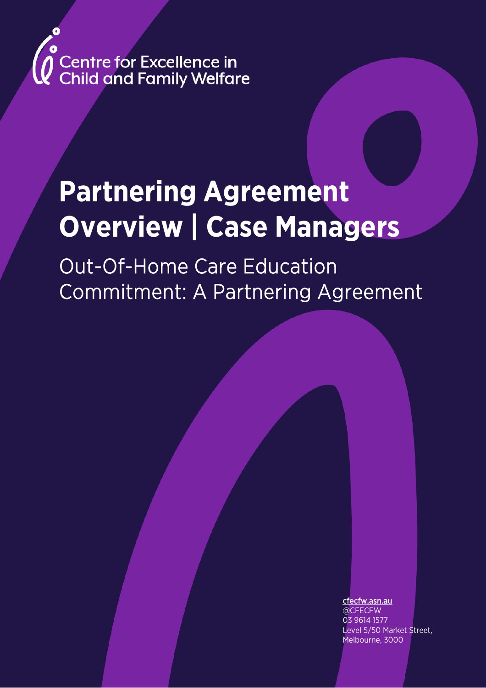

# **Partnering Agreement Overview | Case Managers**

Out-Of-Home Care Education Commitment: A Partnering Agreement

cfecfw.asn.au

@CFECFW 03 9614 1577 Level 5/50 Market Street, Melbourne, 3000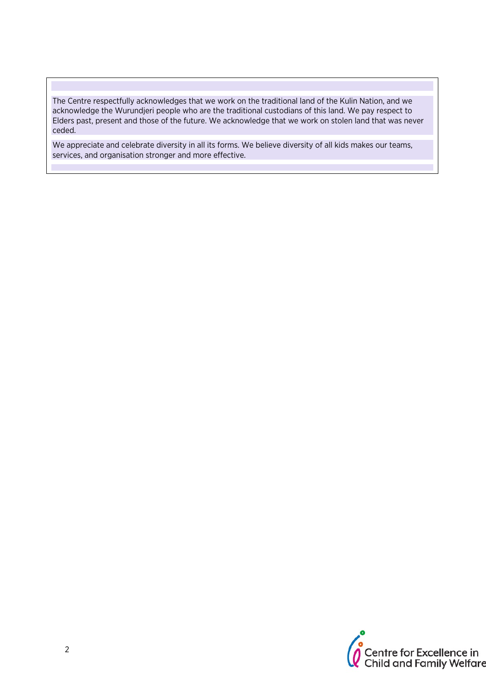The Centre respectfully acknowledges that we work on the traditional land of the Kulin Nation, and we acknowledge the Wurundjeri people who are the traditional custodians of this land. We pay respect to Elders past, present and those of the future. We acknowledge that we work on stolen land that was never ceded.

We appreciate and celebrate diversity in all its forms. We believe diversity of all kids makes our teams, services, and organisation stronger and more effective.

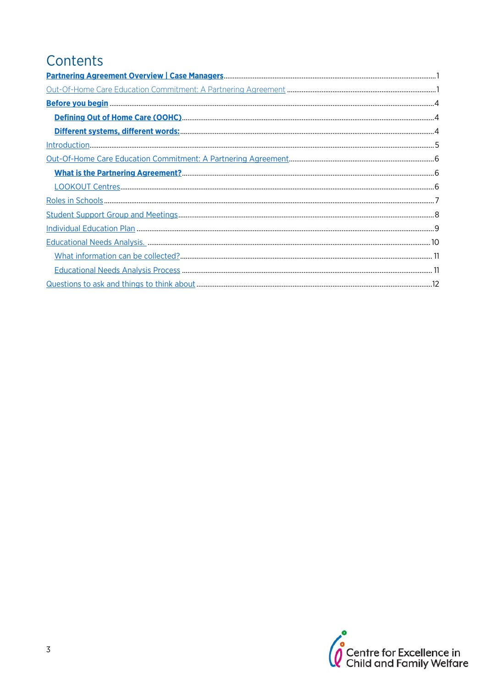### Contents

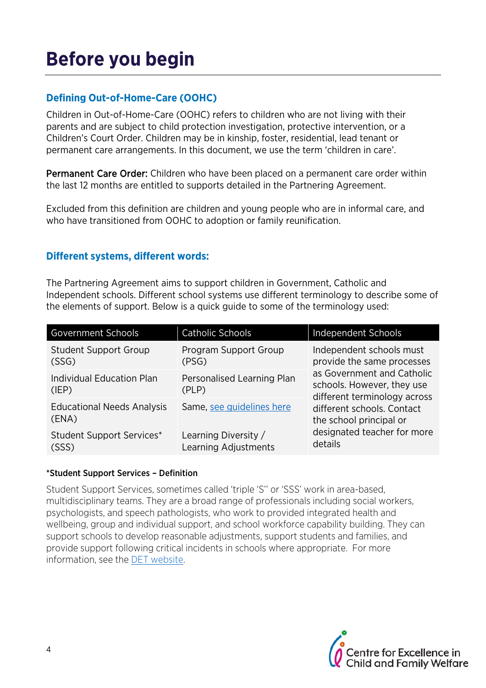# **Before you begin**

#### **Defining Out-of-Home-Care (OOHC)**

Children in Out-of-Home-Care (OOHC) refers to children who are not living with their parents and are subject to child protection investigation, protective intervention, or a Children's Court Order. Children may be in kinship, foster, residential, lead tenant or permanent care arrangements. In this document, we use the term 'children in care'.

Permanent Care Order: Children who have been placed on a permanent care order within the last 12 months are entitled to supports detailed in the Partnering Agreement.

Excluded from this definition are children and young people who are in informal care, and who have transitioned from OOHC to adoption or family reunification.

#### **Different systems, different words:**

The Partnering Agreement aims to support children in Government, Catholic and Independent schools. Different school systems use different terminology to describe some of the elements of support. Below is a quick guide to some of the terminology used:

| <b>Government Schools</b>                  | Catholic Schools                             | Independent Schools                                                                                                                                                                         |
|--------------------------------------------|----------------------------------------------|---------------------------------------------------------------------------------------------------------------------------------------------------------------------------------------------|
| <b>Student Support Group</b><br>(SSG)      | Program Support Group<br>(PSG)               | Independent schools must<br>provide the same processes                                                                                                                                      |
| Individual Education Plan<br>(IEP)         | Personalised Learning Plan<br>(PLP)          | as Government and Catholic<br>schools. However, they use<br>different terminology across<br>different schools. Contact<br>the school principal or<br>designated teacher for more<br>details |
| <b>Educational Needs Analysis</b><br>(ENA) | Same, see guidelines here                    |                                                                                                                                                                                             |
| <b>Student Support Services*</b><br>(SSS)  | Learning Diversity /<br>Learning Adjustments |                                                                                                                                                                                             |

#### \*Student Support Services – Definition

Student Support Services, sometimes called 'triple 'S'' or 'SSS' work in area-based, multidisciplinary teams. They are a broad range of professionals including social workers, psychologists, and speech pathologists, who work to provided integrated health and wellbeing, group and individual support, and school workforce capability building. They can support schools to develop reasonable adjustments, support students and families, and provide support following critical incidents in schools where appropriate. For more information, see the DET website.

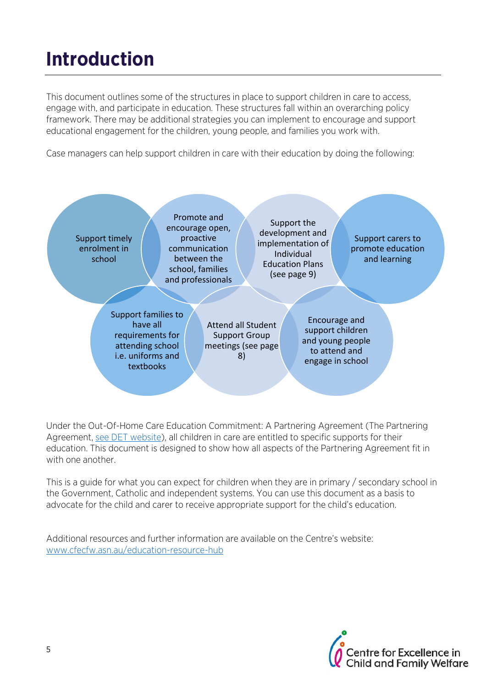# **Introduction**

This document outlines some of the structures in place to support children in care to access, engage with, and participate in education. These structures fall within an overarching policy framework. There may be additional strategies you can implement to encourage and support educational engagement for the children, young people, and families you work with.

Case managers can help support children in care with their education by doing the following:



Under the Out-Of-Home Care Education Commitment: A Partnering Agreement (The Partnering Agreement, see DET website), all children in care are entitled to specific supports for their education. This document is designed to show how all aspects of the Partnering Agreement fit in with one another.

This is a guide for what you can expect for children when they are in primary / secondary school in the Government, Catholic and independent systems. You can use this document as a basis to advocate for the child and carer to receive appropriate support for the child's education.

Additional resources and further information are available on the Centre's website: www.cfecfw.asn.au/education-resource-hub

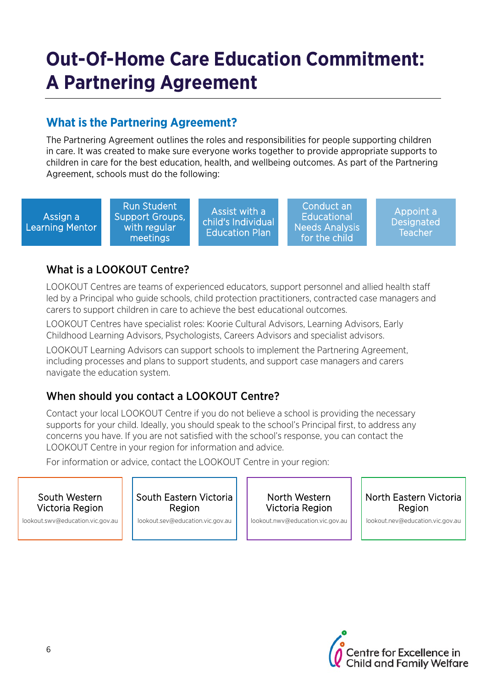## **Out-Of-Home Care Education Commitment: A Partnering Agreement**

### **What is the Partnering Agreement?**

The Partnering Agreement outlines the roles and responsibilities for people supporting children in care. It was created to make sure everyone works together to provide appropriate supports to children in care for the best education, health, and wellbeing outcomes. As part of the Partnering Agreement, schools must do the following:

Assign a Learning Mentor

Run Student Support Groups, with regular meetings

Assist with a child's Individual Education Plan

Conduct an **Educational** Needs Analysis for the child

Appoint a **Designated Teacher** 

### What is a LOOKOUT Centre?

LOOKOUT Centres are teams of experienced educators, support personnel and allied health staff led by a Principal who guide schools, child protection practitioners, contracted case managers and carers to support children in care to achieve the best educational outcomes.

LOOKOUT Centres have specialist roles: Koorie Cultural Advisors, Learning Advisors, Early Childhood Learning Advisors, Psychologists, Careers Advisors and specialist advisors.

LOOKOUT Learning Advisors can support schools to implement the Partnering Agreement, including processes and plans to support students, and support case managers and carers navigate the education system.

### When should you contact a LOOKOUT Centre?

Contact your local LOOKOUT Centre if you do not believe a school is providing the necessary supports for your child. Ideally, you should speak to the school's Principal first, to address any concerns you have. If you are not satisfied with the school's response, you can contact the LOOKOUT Centre in your region for information and advice.

For information or advice, contact the LOOKOUT Centre in your region:

#### South Western Victoria Region

lookout.swv@education.vic.gov.au

South Eastern Victoria Region

lookout.sev@education.vic.gov.au

North Western Victoria Region

lookout.nwv@education.vic.gov.au

North Eastern Victoria Region

lookout.nev@education.vic.gov.au

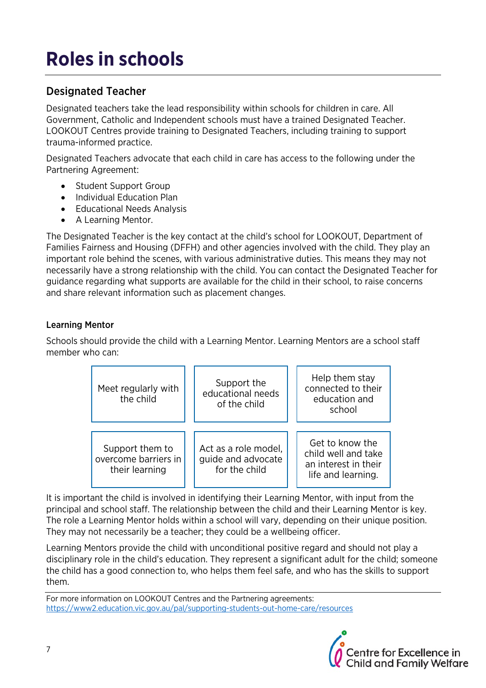# **Roles in schools**

### Designated Teacher

Designated teachers take the lead responsibility within schools for children in care. All Government, Catholic and Independent schools must have a trained Designated Teacher. LOOKOUT Centres provide training to Designated Teachers, including training to support trauma-informed practice.

Designated Teachers advocate that each child in care has access to the following under the Partnering Agreement:

- Student Support Group
- Individual Education Plan
- Educational Needs Analysis
- A Learning Mentor.

The Designated Teacher is the key contact at the child's school for LOOKOUT, Department of Families Fairness and Housing (DFFH) and other agencies involved with the child. They play an important role behind the scenes, with various administrative duties. This means they may not necessarily have a strong relationship with the child. You can contact the Designated Teacher for guidance regarding what supports are available for the child in their school, to raise concerns and share relevant information such as placement changes.

#### Learning Mentor

Schools should provide the child with a Learning Mentor. Learning Mentors are a school staff member who can:



It is important the child is involved in identifying their Learning Mentor, with input from the principal and school staff. The relationship between the child and their Learning Mentor is key. The role a Learning Mentor holds within a school will vary, depending on their unique position. They may not necessarily be a teacher; they could be a wellbeing officer.

Learning Mentors provide the child with unconditional positive regard and should not play a disciplinary role in the child's education. They represent a significant adult for the child; someone the child has a good connection to, who helps them feel safe, and who has the skills to support them.

For more information on LOOKOUT Centres and the Partnering agreements: https://www2.education.vic.gov.au/pal/supporting-students-out-home-care/resources

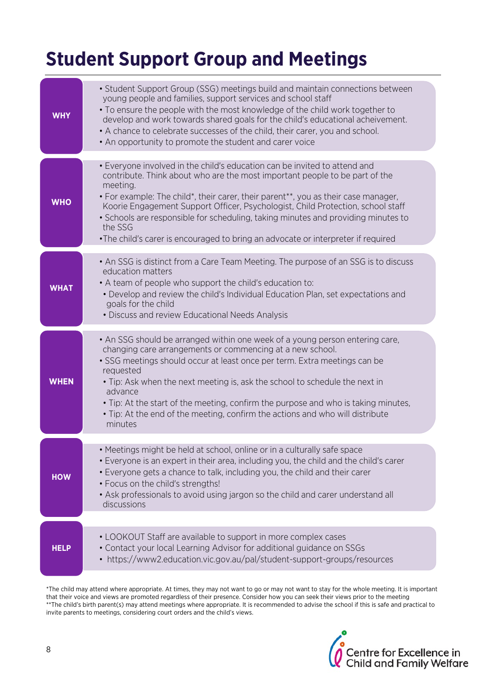### **Student Support Group and Meetings**

| WHY         | • Student Support Group (SSG) meetings build and maintain connections between<br>young people and families, support services and school staff<br>• To ensure the people with the most knowledge of the child work together to<br>develop and work towards shared goals for the child's educational acheivement.<br>• A chance to celebrate successes of the child, their carer, you and school.<br>• An opportunity to promote the student and carer voice                                                                        |
|-------------|-----------------------------------------------------------------------------------------------------------------------------------------------------------------------------------------------------------------------------------------------------------------------------------------------------------------------------------------------------------------------------------------------------------------------------------------------------------------------------------------------------------------------------------|
| <b>WHO</b>  | • Everyone involved in the child's education can be invited to attend and<br>contribute. Think about who are the most important people to be part of the<br>meeting.<br>• For example: The child*, their carer, their parent**, you as their case manager,<br>Koorie Engagement Support Officer, Psychologist, Child Protection, school staff<br>• Schools are responsible for scheduling, taking minutes and providing minutes to<br>the SSG<br>•The child's carer is encouraged to bring an advocate or interpreter if required |
| <b>WHAT</b> | • An SSG is distinct from a Care Team Meeting. The purpose of an SSG is to discuss<br>education matters<br>• A team of people who support the child's education to:<br>• Develop and review the child's Individual Education Plan, set expectations and<br>goals for the child<br>• Discuss and review Educational Needs Analysis                                                                                                                                                                                                 |
| <b>WHEN</b> | • An SSG should be arranged within one week of a young person entering care,<br>changing care arrangements or commencing at a new school.<br>• SSG meetings should occur at least once per term. Extra meetings can be<br>requested<br>• Tip: Ask when the next meeting is, ask the school to schedule the next in<br>advance<br>• Tip: At the start of the meeting, confirm the purpose and who is taking minutes,<br>• Tip: At the end of the meeting, confirm the actions and who will distribute<br>minutes                   |
| <b>HOW</b>  | • Meetings might be held at school, online or in a culturally safe space<br>• Everyone is an expert in their area, including you, the child and the child's carer<br>• Everyone gets a chance to talk, including you, the child and their carer<br>• Focus on the child's strengths!<br>• Ask professionals to avoid using jargon so the child and carer understand all<br>discussions                                                                                                                                            |
| HELP        | • LOOKOUT Staff are available to support in more complex cases<br>• Contact your local Learning Advisor for additional guidance on SSGs<br>• https://www2.education.vic.gov.au/pal/student-support-groups/resources                                                                                                                                                                                                                                                                                                               |

\*The child may attend where appropriate. At times, they may not want to go or may not want to stay for the whole meeting. It is important that their voice and views are promoted regardless of their presence. Consider how you can seek their views prior to the meeting \*\*The child's birth parent(s) may attend meetings where appropriate. It is recommended to advise the school if this is safe and practical to invite parents to meetings, considering court orders and the child's views.

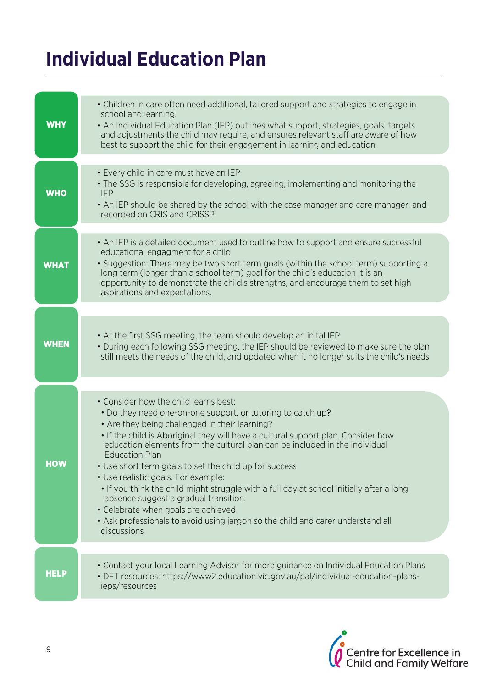### **Individual Education Plan**

| <b>WHY</b>  | • Children in care often need additional, tailored support and strategies to engage in<br>school and learning.<br>• An Individual Education Plan (IEP) outlines what support, strategies, goals, targets<br>and adjustments the child may require, and ensures relevant staff are aware of how<br>best to support the child for their engagement in learning and education                                                                                                                                                                                                                                                                                                                                                          |
|-------------|-------------------------------------------------------------------------------------------------------------------------------------------------------------------------------------------------------------------------------------------------------------------------------------------------------------------------------------------------------------------------------------------------------------------------------------------------------------------------------------------------------------------------------------------------------------------------------------------------------------------------------------------------------------------------------------------------------------------------------------|
| <b>WHO</b>  | • Every child in care must have an IEP<br>• The SSG is responsible for developing, agreeing, implementing and monitoring the<br><b>IEP</b><br>. An IEP should be shared by the school with the case manager and care manager, and<br>recorded on CRIS and CRISSP                                                                                                                                                                                                                                                                                                                                                                                                                                                                    |
| <b>WHAT</b> | • An IEP is a detailed document used to outline how to support and ensure successful<br>educational engagment for a child<br>• Suggestion: There may be two short term goals (within the school term) supporting a<br>long term (longer than a school term) goal for the child's education It is an<br>opportunity to demonstrate the child's strengths, and encourage them to set high<br>aspirations and expectations.                                                                                                                                                                                                                                                                                                            |
| <b>WHEN</b> | • At the first SSG meeting, the team should develop an inital IEP<br>• During each following SSG meeting, the IEP should be reviewed to make sure the plan<br>still meets the needs of the child, and updated when it no longer suits the child's needs                                                                                                                                                                                                                                                                                                                                                                                                                                                                             |
| <b>HOW</b>  | . Consider how the child learns best:<br>• Do they need one-on-one support, or tutoring to catch up?<br>• Are they being challenged in their learning?<br>. If the child is Aboriginal they will have a cultural support plan. Consider how<br>education elements from the cultural plan can be included in the Individual<br><b>Education Plan</b><br>• Use short term goals to set the child up for success<br>• Use realistic goals. For example:<br>. If you think the child might struggle with a full day at school initially after a long<br>absence suggest a gradual transition.<br>• Celebrate when goals are achieved!<br>• Ask professionals to avoid using jargon so the child and carer understand all<br>discussions |
| <b>HELP</b> | • Contact your local Learning Advisor for more guidance on Individual Education Plans<br>• DET resources: https://www2.education.vic.gov.au/pal/individual-education-plans-<br>ieps/resources                                                                                                                                                                                                                                                                                                                                                                                                                                                                                                                                       |

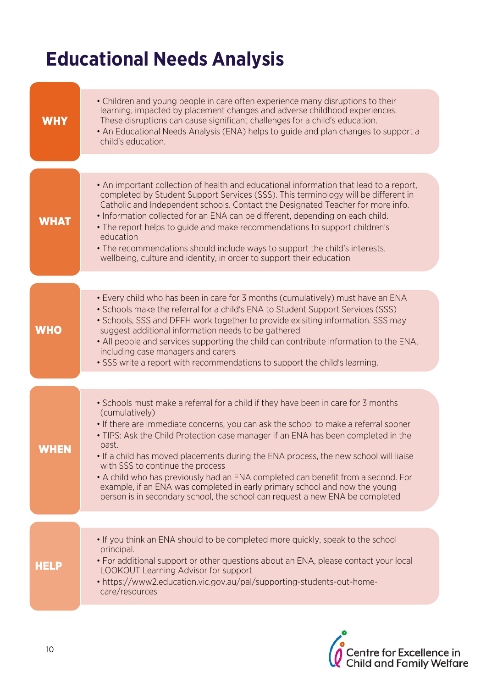## **Educational Needs Analysis**

| <b>WHY</b>  | • Children and young people in care often experience many disruptions to their<br>learning, impacted by placement changes and adverse childhood experiences.<br>These disruptions can cause significant challenges for a child's education.<br>• An Educational Needs Analysis (ENA) helps to guide and plan changes to support a<br>child's education.                                                                                                                                                                                                                                                                                                                |
|-------------|------------------------------------------------------------------------------------------------------------------------------------------------------------------------------------------------------------------------------------------------------------------------------------------------------------------------------------------------------------------------------------------------------------------------------------------------------------------------------------------------------------------------------------------------------------------------------------------------------------------------------------------------------------------------|
|             |                                                                                                                                                                                                                                                                                                                                                                                                                                                                                                                                                                                                                                                                        |
| <b>WHAT</b> | • An important collection of health and educational information that lead to a report,<br>completed by Student Support Services (SSS). This terminology will be different in<br>Catholic and Independent schools. Contact the Designated Teacher for more info.<br>. Information collected for an ENA can be different, depending on each child.<br>. The report helps to guide and make recommendations to support children's<br>education<br>• The recommendations should include ways to support the child's interests,<br>wellbeing, culture and identity, in order to support their education                                                                     |
|             |                                                                                                                                                                                                                                                                                                                                                                                                                                                                                                                                                                                                                                                                        |
| <b>WHO</b>  | • Every child who has been in care for 3 months (cumulatively) must have an ENA<br>• Schools make the referral for a child's ENA to Student Support Services (SSS)<br>• Schools, SSS and DFFH work together to provide exisiting information. SSS may<br>suggest additional information needs to be gathered<br>• All people and services supporting the child can contribute information to the ENA,<br>including case managers and carers<br>• SSS write a report with recommendations to support the child's learning.                                                                                                                                              |
|             |                                                                                                                                                                                                                                                                                                                                                                                                                                                                                                                                                                                                                                                                        |
| WHEN        | • Schools must make a referral for a child if they have been in care for 3 months<br>(cumulatively)<br>. If there are immediate concerns, you can ask the school to make a referral sooner<br>• TIPS: Ask the Child Protection case manager if an ENA has been completed in the<br>past.<br>• If a child has moved placements during the ENA process, the new school will liaise<br>with SSS to continue the process<br>• A child who has previously had an ENA completed can benefit from a second. For<br>example, if an ENA was completed in early primary school and now the young<br>person is in secondary school, the school can request a new ENA be completed |
|             |                                                                                                                                                                                                                                                                                                                                                                                                                                                                                                                                                                                                                                                                        |
| <b>HELP</b> | • If you think an ENA should to be completed more quickly, speak to the school<br>principal.<br>• For additional support or other questions about an ENA, please contact your local<br>LOOKOUT Learning Advisor for support<br>• https://www2.education.vic.gov.au/pal/supporting-students-out-home-<br>care/resources                                                                                                                                                                                                                                                                                                                                                 |

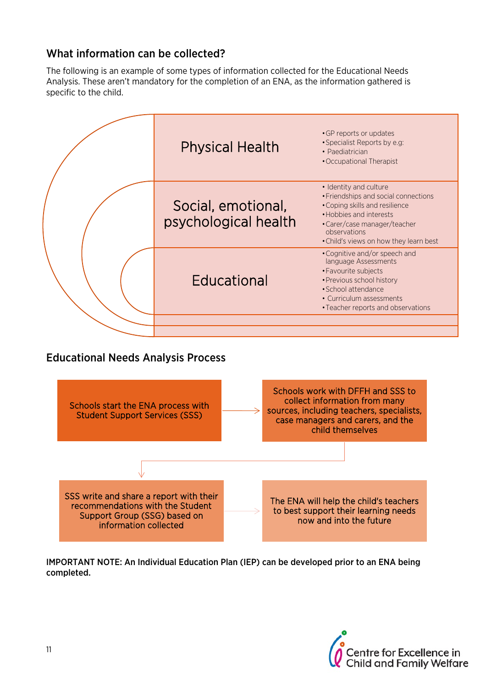#### What information can be collected?

The following is an example of some types of information collected for the Educational Needs Analysis. These aren't mandatory for the completion of an ENA, as the information gathered is specific to the child.



#### Educational Needs Analysis Process



IMPORTANT NOTE: An Individual Education Plan (IEP) can be developed prior to an ENA being completed.